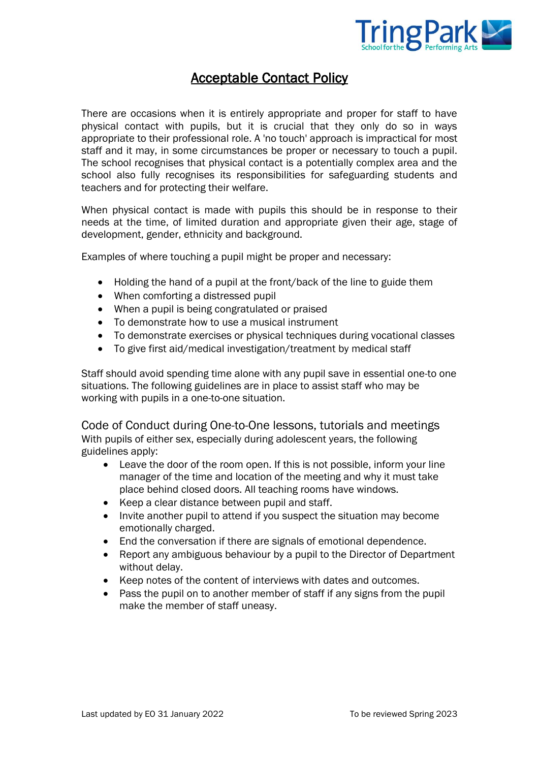

## Acceptable Contact Policy

There are occasions when it is entirely appropriate and proper for staff to have physical contact with pupils, but it is crucial that they only do so in ways appropriate to their professional role. A 'no touch' approach is impractical for most staff and it may, in some circumstances be proper or necessary to touch a pupil. The school recognises that physical contact is a potentially complex area and the school also fully recognises its responsibilities for safeguarding students and teachers and for protecting their welfare.

When physical contact is made with pupils this should be in response to their needs at the time, of limited duration and appropriate given their age, stage of development, gender, ethnicity and background.

Examples of where touching a pupil might be proper and necessary:

- Holding the hand of a pupil at the front/back of the line to guide them
- When comforting a distressed pupil
- When a pupil is being congratulated or praised
- To demonstrate how to use a musical instrument
- To demonstrate exercises or physical techniques during vocational classes
- To give first aid/medical investigation/treatment by medical staff

Staff should avoid spending time alone with any pupil save in essential one-to one situations. The following guidelines are in place to assist staff who may be working with pupils in a one-to-one situation.

Code of Conduct during One-to-One lessons, tutorials and meetings With pupils of either sex, especially during adolescent years, the following guidelines apply:

- Leave the door of the room open. If this is not possible, inform your line manager of the time and location of the meeting and why it must take place behind closed doors. All teaching rooms have windows.
- Keep a clear distance between pupil and staff.
- Invite another pupil to attend if you suspect the situation may become emotionally charged.
- End the conversation if there are signals of emotional dependence.
- Report any ambiguous behaviour by a pupil to the Director of Department without delay.
- Keep notes of the content of interviews with dates and outcomes.
- Pass the pupil on to another member of staff if any signs from the pupil make the member of staff uneasy.